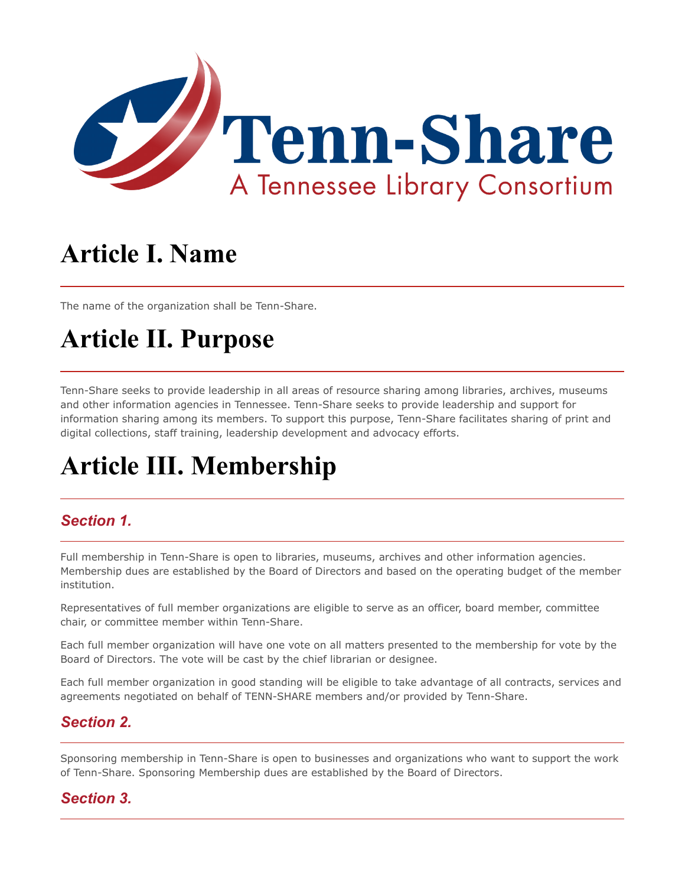

# **Article I. Name**

The name of the organization shall be Tenn-Share.

## **Article II. Purpose**

Tenn-Share seeks to provide leadership in all areas of resource sharing among libraries, archives, museums and other information agencies in Tennessee. Tenn-Share seeks to provide leadership and support for information sharing among its members. To support this purpose, Tenn-Share facilitates sharing of print and digital collections, staff training, leadership development and advocacy efforts.

# **Article III. Membership**

#### *Section 1.*

Full membership in Tenn-Share is open to libraries, museums, archives and other information agencies. Membership dues are established by the Board of Directors and based on the operating budget of the member institution.

Representatives of full member organizations are eligible to serve as an officer, board member, committee chair, or committee member within Tenn-Share.

Each full member organization will have one vote on all matters presented to the membership for vote by the Board of Directors. The vote will be cast by the chief librarian or designee.

Each full member organization in good standing will be eligible to take advantage of all contracts, services and agreements negotiated on behalf of TENN-SHARE members and/or provided by Tenn-Share.

#### *Section 2.*

Sponsoring membership in Tenn-Share is open to businesses and organizations who want to support the work of Tenn-Share. Sponsoring Membership dues are established by the Board of Directors.

#### *Section 3.*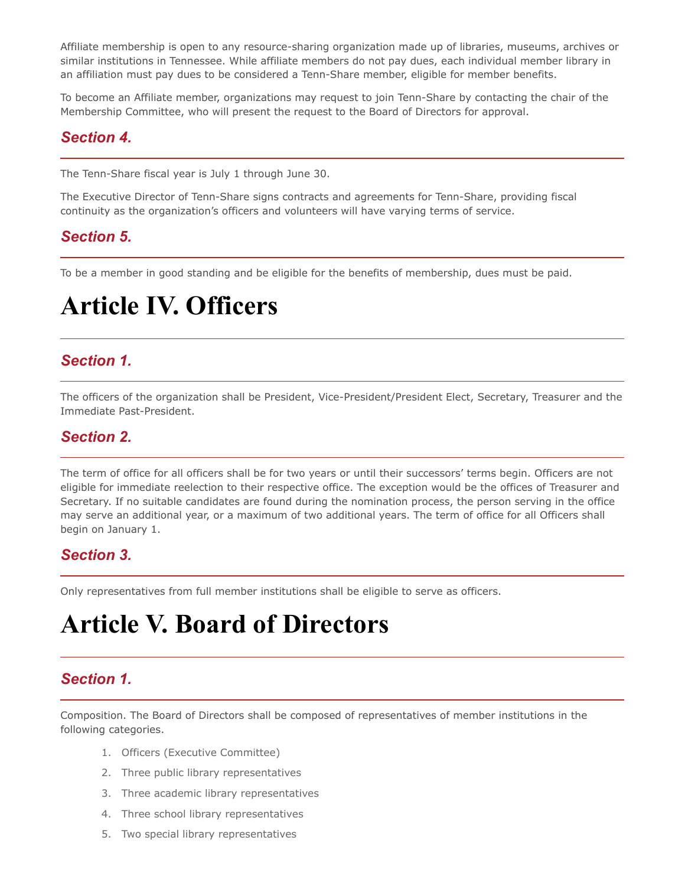Affiliate membership is open to any resource-sharing organization made up of libraries, museums, archives or similar institutions in Tennessee. While affiliate members do not pay dues, each individual member library in an affiliation must pay dues to be considered a Tenn-Share member, eligible for member benefits.

To become an Affiliate member, organizations may request to join Tenn-Share by contacting the chair of the Membership Committee, who will present the request to the Board of Directors for approval.

#### *Section 4.*

The Tenn-Share fiscal year is July 1 through June 30.

The Executive Director of Tenn-Share signs contracts and agreements for Tenn-Share, providing fiscal continuity as the organization's officers and volunteers will have varying terms of service.

#### *Section 5.*

To be a member in good standing and be eligible for the benefits of membership, dues must be paid.

### **Article IV. Officers**

#### *Section 1.*

The officers of the organization shall be President, Vice-President/President Elect, Secretary, Treasurer and the Immediate Past-President.

#### *Section 2.*

The term of office for all officers shall be for two years or until their successors' terms begin. Officers are not eligible for immediate reelection to their respective office. The exception would be the offices of Treasurer and Secretary. If no suitable candidates are found during the nomination process, the person serving in the office may serve an additional year, or a maximum of two additional years. The term of office for all Officers shall begin on January 1.

#### *Section 3.*

Only representatives from full member institutions shall be eligible to serve as officers.

### **Article V. Board of Directors**

#### *Section 1.*

Composition. The Board of Directors shall be composed of representatives of member institutions in the following categories.

- 1. Officers (Executive Committee)
- 2. Three public library representatives
- 3. Three academic library representatives
- 4. Three school library representatives
- 5. Two special library representatives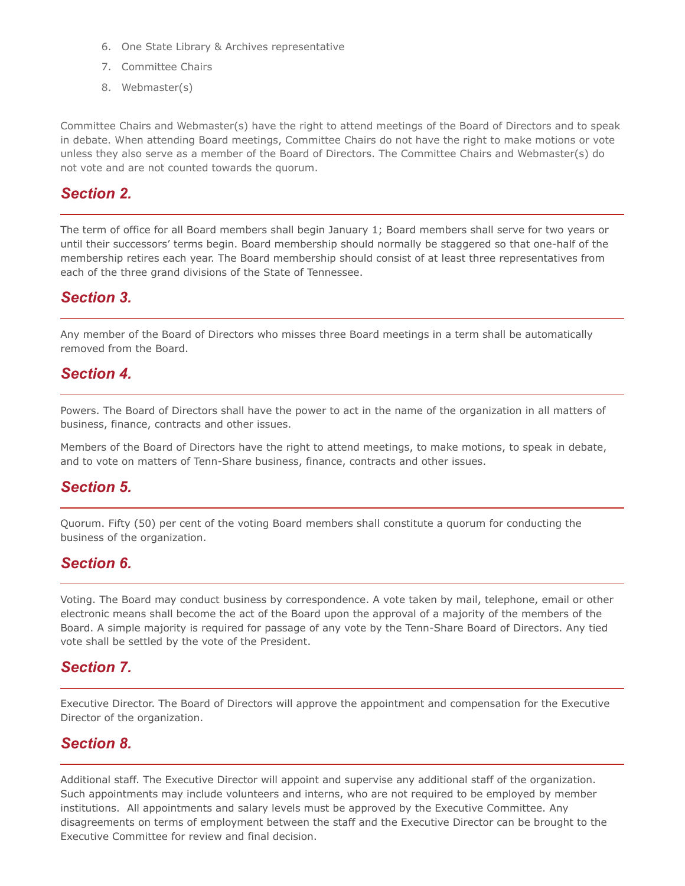- 6. One State Library & Archives representative
- 7. Committee Chairs
- 8. Webmaster(s)

Committee Chairs and Webmaster(s) have the right to attend meetings of the Board of Directors and to speak in debate. When attending Board meetings, Committee Chairs do not have the right to make motions or vote unless they also serve as a member of the Board of Directors. The Committee Chairs and Webmaster(s) do not vote and are not counted towards the quorum.

#### *Section 2.*

The term of office for all Board members shall begin January 1; Board members shall serve for two years or until their successors' terms begin. Board membership should normally be staggered so that one-half of the membership retires each year. The Board membership should consist of at least three representatives from each of the three grand divisions of the State of Tennessee.

#### *Section 3.*

Any member of the Board of Directors who misses three Board meetings in a term shall be automatically removed from the Board.

#### *Section 4.*

Powers. The Board of Directors shall have the power to act in the name of the organization in all matters of business, finance, contracts and other issues.

Members of the Board of Directors have the right to attend meetings, to make motions, to speak in debate, and to vote on matters of Tenn-Share business, finance, contracts and other issues.

#### *Section 5.*

Quorum. Fifty (50) per cent of the voting Board members shall constitute a quorum for conducting the business of the organization.

#### *Section 6.*

Voting. The Board may conduct business by correspondence. A vote taken by mail, telephone, email or other electronic means shall become the act of the Board upon the approval of a majority of the members of the Board. A simple majority is required for passage of any vote by the Tenn-Share Board of Directors. Any tied vote shall be settled by the vote of the President.

#### *Section 7.*

Executive Director. The Board of Directors will approve the appointment and compensation for the Executive Director of the organization.

#### *Section 8.*

Additional staff. The Executive Director will appoint and supervise any additional staff of the organization. Such appointments may include volunteers and interns, who are not required to be employed by member institutions. All appointments and salary levels must be approved by the Executive Committee. Any disagreements on terms of employment between the staff and the Executive Director can be brought to the Executive Committee for review and final decision.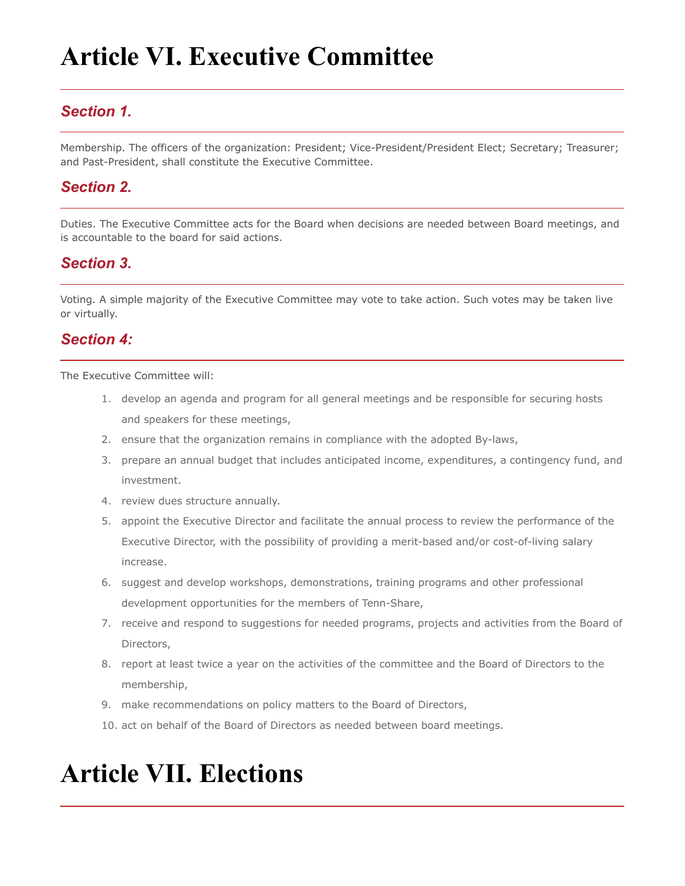# **Article VI. Executive Committee**

#### *Section 1.*

Membership. The officers of the organization: President; Vice-President/President Elect; Secretary; Treasurer; and Past-President, shall constitute the Executive Committee.

#### *Section 2.*

Duties. The Executive Committee acts for the Board when decisions are needed between Board meetings, and is accountable to the board for said actions.

#### *Section 3.*

Voting. A simple majority of the Executive Committee may vote to take action. Such votes may be taken live or virtually.

#### *Section 4:*

The Executive Committee will:

- 1. develop an agenda and program for all general meetings and be responsible for securing hosts and speakers for these meetings,
- 2. ensure that the organization remains in compliance with the adopted By-laws,
- 3. prepare an annual budget that includes anticipated income, expenditures, a contingency fund, and investment.
- 4. review dues structure annually.
- 5. appoint the Executive Director and facilitate the annual process to review the performance of the Executive Director, with the possibility of providing a merit-based and/or cost-of-living salary increase.
- 6. suggest and develop workshops, demonstrations, training programs and other professional development opportunities for the members of Tenn-Share,
- 7. receive and respond to suggestions for needed programs, projects and activities from the Board of Directors,
- 8. report at least twice a year on the activities of the committee and the Board of Directors to the membership,
- 9. make recommendations on policy matters to the Board of Directors,
- 10. act on behalf of the Board of Directors as needed between board meetings.

### **Article VII. Elections**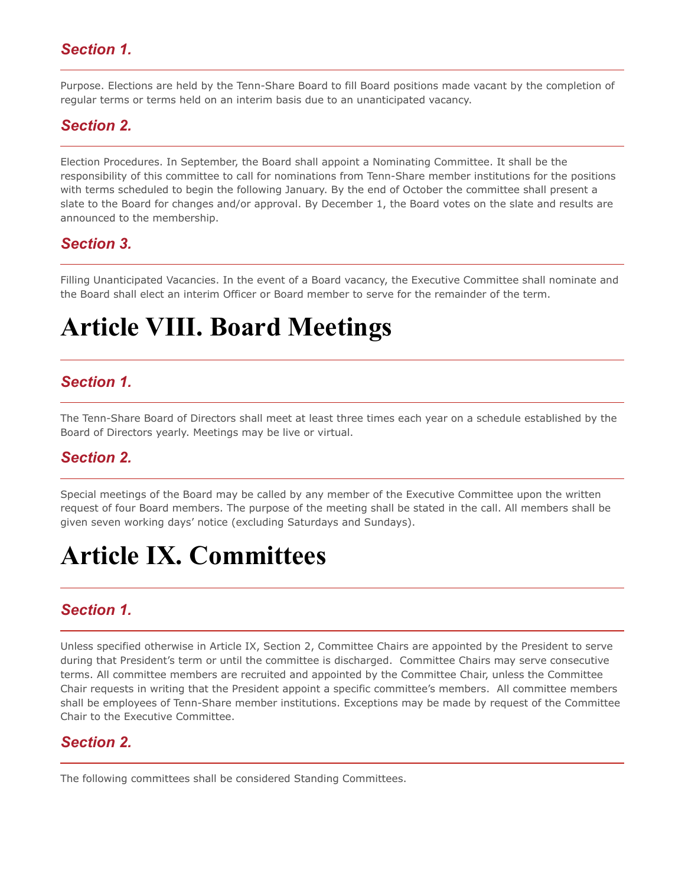#### *Section 1.*

Purpose. Elections are held by the Tenn-Share Board to fill Board positions made vacant by the completion of regular terms or terms held on an interim basis due to an unanticipated vacancy.

#### *Section 2.*

Election Procedures. In September, the Board shall appoint a Nominating Committee. It shall be the responsibility of this committee to call for nominations from Tenn-Share member institutions for the positions with terms scheduled to begin the following January. By the end of October the committee shall present a slate to the Board for changes and/or approval. By December 1, the Board votes on the slate and results are announced to the membership.

#### *Section 3.*

Filling Unanticipated Vacancies. In the event of a Board vacancy, the Executive Committee shall nominate and the Board shall elect an interim Officer or Board member to serve for the remainder of the term.

### **Article VIII. Board Meetings**

#### *Section 1.*

The Tenn-Share Board of Directors shall meet at least three times each year on a schedule established by the Board of Directors yearly. Meetings may be live or virtual.

#### *Section 2.*

Special meetings of the Board may be called by any member of the Executive Committee upon the written request of four Board members. The purpose of the meeting shall be stated in the call. All members shall be given seven working days' notice (excluding Saturdays and Sundays).

### **Article IX. Committees**

#### *Section 1.*

Unless specified otherwise in Article IX, Section 2, Committee Chairs are appointed by the President to serve during that President's term or until the committee is discharged. Committee Chairs may serve consecutive terms. All committee members are recruited and appointed by the Committee Chair, unless the Committee Chair requests in writing that the President appoint a specific committee's members. All committee members shall be employees of Tenn-Share member institutions. Exceptions may be made by request of the Committee Chair to the Executive Committee.

#### *Section 2.*

The following committees shall be considered Standing Committees.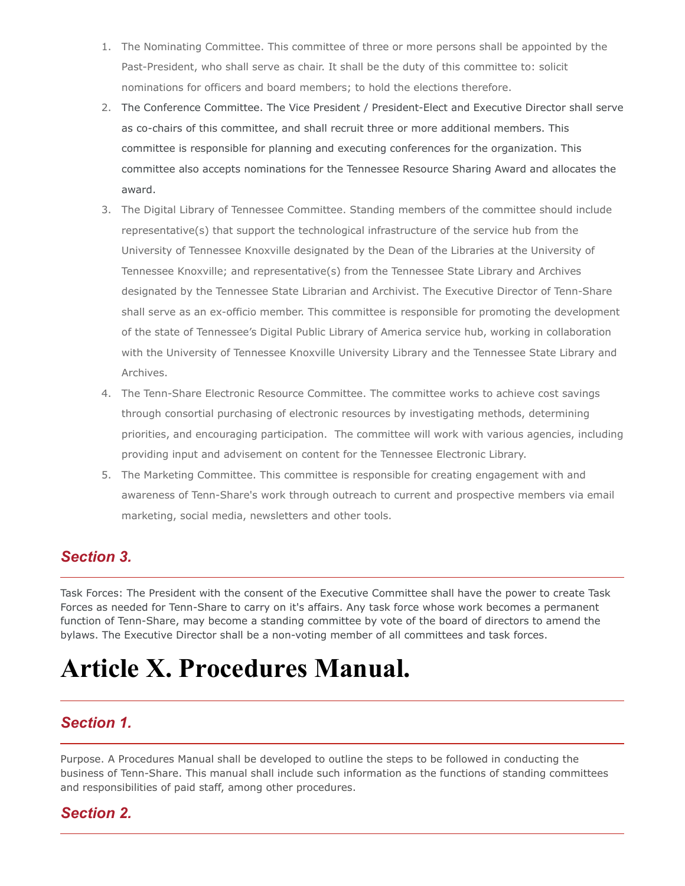- 1. The Nominating Committee. This committee of three or more persons shall be appointed by the Past-President, who shall serve as chair. It shall be the duty of this committee to: solicit nominations for officers and board members; to hold the elections therefore.
- 2. The Conference Committee. The Vice President / President-Elect and Executive Director shall serve as co-chairs of this committee, and shall recruit three or more additional members. This committee is responsible for planning and executing conferences for the organization. This committee also accepts nominations for the Tennessee Resource Sharing Award and allocates the award.
- 3. The Digital Library of Tennessee Committee. Standing members of the committee should include representative(s) that support the technological infrastructure of the service hub from the University of Tennessee Knoxville designated by the Dean of the Libraries at the University of Tennessee Knoxville; and representative(s) from the Tennessee State Library and Archives designated by the Tennessee State Librarian and Archivist. The Executive Director of Tenn-Share shall serve as an ex-officio member. This committee is responsible for promoting the development of the state of Tennessee's Digital Public Library of America service hub, working in collaboration with the University of Tennessee Knoxville University Library and the Tennessee State Library and Archives.
- 4. The Tenn-Share Electronic Resource Committee. The committee works to achieve cost savings through consortial purchasing of electronic resources by investigating methods, determining priorities, and encouraging participation. The committee will work with various agencies, including providing input and advisement on content for the Tennessee Electronic Library.
- 5. The Marketing Committee. This committee is responsible for creating engagement with and awareness of Tenn-Share's work through outreach to current and prospective members via email marketing, social media, newsletters and other tools.

#### *Section 3.*

Task Forces: The President with the consent of the Executive Committee shall have the power to create Task Forces as needed for Tenn-Share to carry on it's affairs. Any task force whose work becomes a permanent function of Tenn-Share, may become a standing committee by vote of the board of directors to amend the bylaws. The Executive Director shall be a non-voting member of all committees and task forces.

### **Article X. Procedures Manual.**

#### *Section 1.*

Purpose. A Procedures Manual shall be developed to outline the steps to be followed in conducting the business of Tenn-Share. This manual shall include such information as the functions of standing committees and responsibilities of paid staff, among other procedures.

#### *Section 2.*